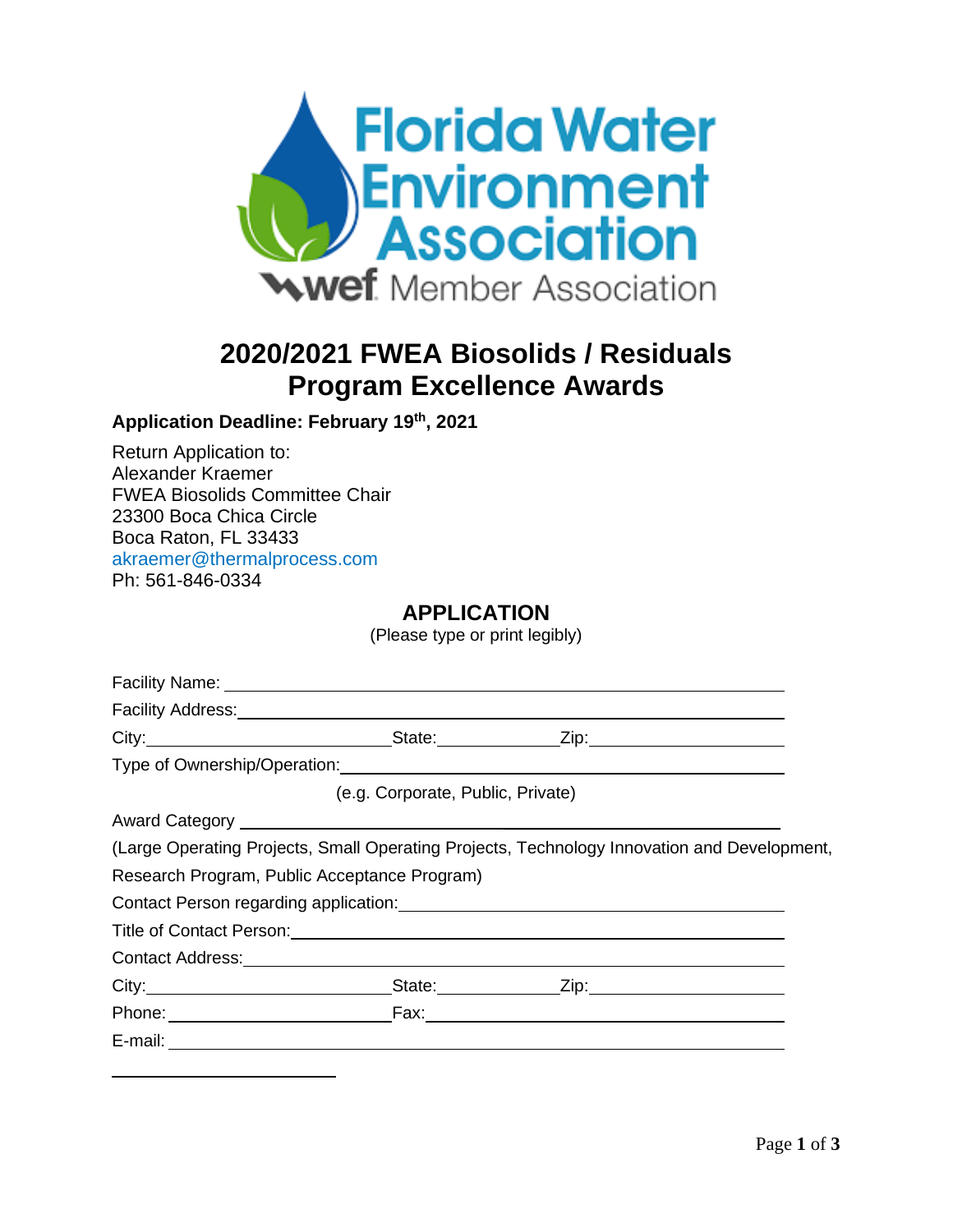

# **2020/2021 FWEA Biosolids / Residuals Program Excellence Awards**

## **Application Deadline: February 19th, 2021**

Return Application to: Alexander Kraemer FWEA Biosolids Committee Chair 23300 Boca Chica Circle Boca Raton, FL 33433 akraemer@thermalprocess.com Ph: 561-846-0334

## **APPLICATION**

(Please type or print legibly)

| Facility Name: William School and The Contract of the Contract of the Contract of the Contract of the Contract of the Contract of the Contract of the Contract of the Contract of the Contract of the Contract of the Contract |                                   |                                                                                             |  |
|--------------------------------------------------------------------------------------------------------------------------------------------------------------------------------------------------------------------------------|-----------------------------------|---------------------------------------------------------------------------------------------|--|
|                                                                                                                                                                                                                                |                                   |                                                                                             |  |
|                                                                                                                                                                                                                                |                                   |                                                                                             |  |
|                                                                                                                                                                                                                                |                                   | Type of Ownership/Operation: Manual Community of Ownership Operation:                       |  |
|                                                                                                                                                                                                                                | (e.g. Corporate, Public, Private) |                                                                                             |  |
| Award Category New York Category New York Category New York Category New York Category New York Category New York Category New York Category New York Category New York Category New York Category New York Category New York  |                                   |                                                                                             |  |
|                                                                                                                                                                                                                                |                                   | (Large Operating Projects, Small Operating Projects, Technology Innovation and Development, |  |
| Research Program, Public Acceptance Program)                                                                                                                                                                                   |                                   |                                                                                             |  |
|                                                                                                                                                                                                                                |                                   |                                                                                             |  |
|                                                                                                                                                                                                                                |                                   |                                                                                             |  |
|                                                                                                                                                                                                                                |                                   |                                                                                             |  |
|                                                                                                                                                                                                                                |                                   |                                                                                             |  |
|                                                                                                                                                                                                                                |                                   |                                                                                             |  |
|                                                                                                                                                                                                                                |                                   |                                                                                             |  |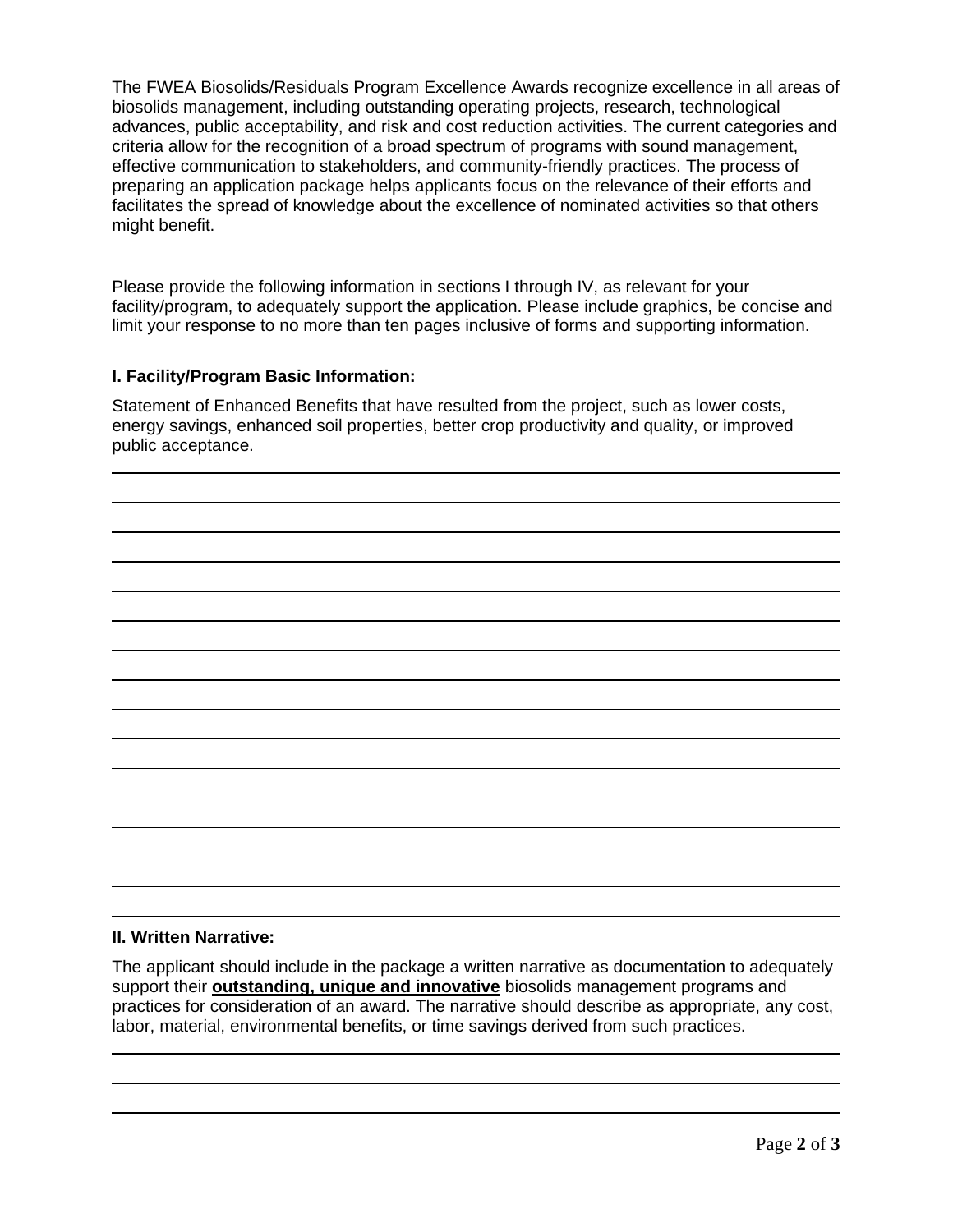The FWEA Biosolids/Residuals Program Excellence Awards recognize excellence in all areas of biosolids management, including outstanding operating projects, research, technological advances, public acceptability, and risk and cost reduction activities. The current categories and criteria allow for the recognition of a broad spectrum of programs with sound management, effective communication to stakeholders, and community-friendly practices. The process of preparing an application package helps applicants focus on the relevance of their efforts and facilitates the spread of knowledge about the excellence of nominated activities so that others might benefit.

Please provide the following information in sections I through IV, as relevant for your facility/program, to adequately support the application. Please include graphics, be concise and limit your response to no more than ten pages inclusive of forms and supporting information.

### **I. Facility/Program Basic Information:**

Statement of Enhanced Benefits that have resulted from the project, such as lower costs, energy savings, enhanced soil properties, better crop productivity and quality, or improved public acceptance.

#### **II. Written Narrative:**

The applicant should include in the package a written narrative as documentation to adequately support their **outstanding, unique and innovative** biosolids management programs and practices for consideration of an award. The narrative should describe as appropriate, any cost, labor, material, environmental benefits, or time savings derived from such practices.